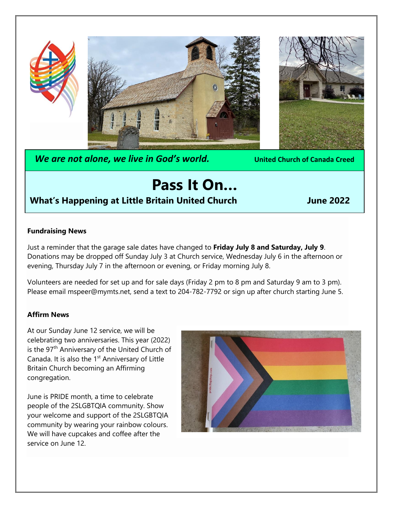

*We are not alone, we live in God's world.* **United Church of Canada Creed**

# **Pass It On…**

## **What's Happening at Little Britain United Church Million School Sume 2022**

#### **Fundraising News**

Just a reminder that the garage sale dates have changed to **Friday July 8 and Saturday, July 9**. Donations may be dropped off Sunday July 3 at Church service, Wednesday July 6 in the afternoon or evening, Thursday July 7 in the afternoon or evening, or Friday morning July 8.

Volunteers are needed for set up and for sale days (Friday 2 pm to 8 pm and Saturday 9 am to 3 pm). Please email mspeer@mymts.net, [send a text to 204-782-7792 or sign up after church starting June](mailto:mspeer@mymts.net, send%20a%20text%20to%20204-782-7792%20or%20sign%20up%20after%20church%20starting%20June) 5.

#### **Affirm News**

At our Sunday June 12 service, we will be celebrating two anniversaries. This year (2022) is the 97<sup>th</sup> Anniversary of the United Church of Canada. It is also the 1<sup>st</sup> Anniversary of Little Britain Church becoming an Affirming congregation.

June is PRIDE month, a time to celebrate people of the 2SLGBTQIA community. Show your welcome and support of the 2SLGBTQIA community by wearing your rainbow colours. We will have cupcakes and coffee after the service on June 12.